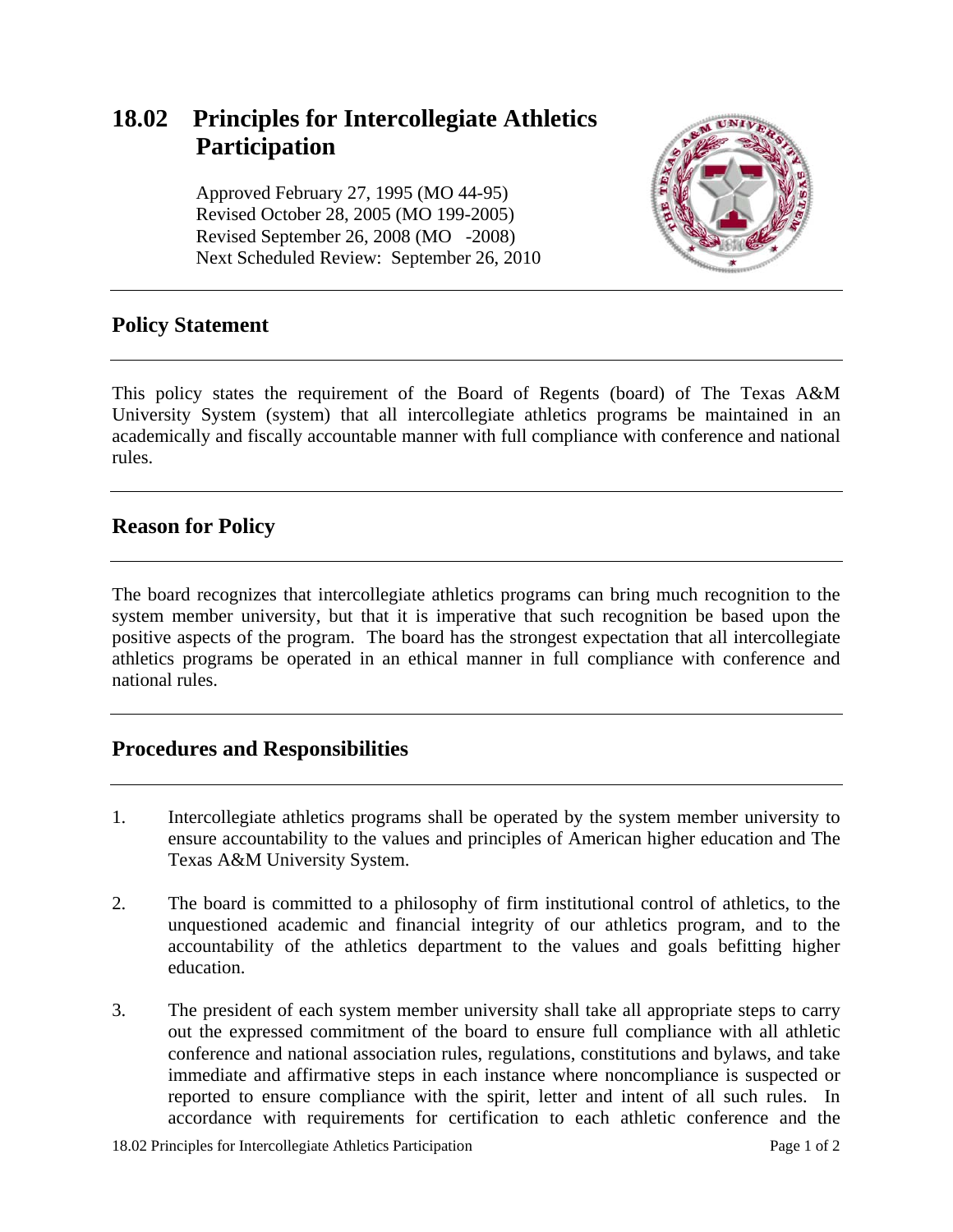# **18.02 Principles for Intercollegiate Athletics Participation**

 Approved February 27, 1995 (MO 44-95) Revised October 28, 2005 (MO 199-2005) Revised September 26, 2008 (MO -2008) Next Scheduled Review: September 26, 2010



## **Policy Statement**

This policy states the requirement of the Board of Regents (board) of The Texas A&M University System (system) that all intercollegiate athletics programs be maintained in an academically and fiscally accountable manner with full compliance with conference and national rules.

## **Reason for Policy**

The board recognizes that intercollegiate athletics programs can bring much recognition to the system member university, but that it is imperative that such recognition be based upon the positive aspects of the program. The board has the strongest expectation that all intercollegiate athletics programs be operated in an ethical manner in full compliance with conference and national rules.

# **Procedures and Responsibilities**

- 1. Intercollegiate athletics programs shall be operated by the system member university to ensure accountability to the values and principles of American higher education and The Texas A&M University System.
- 2. The board is committed to a philosophy of firm institutional control of athletics, to the unquestioned academic and financial integrity of our athletics program, and to the accountability of the athletics department to the values and goals befitting higher education.
- 3. The president of each system member university shall take all appropriate steps to carry out the expressed commitment of the board to ensure full compliance with all athletic conference and national association rules, regulations, constitutions and bylaws, and take immediate and affirmative steps in each instance where noncompliance is suspected or reported to ensure compliance with the spirit, letter and intent of all such rules. In accordance with requirements for certification to each athletic conference and the